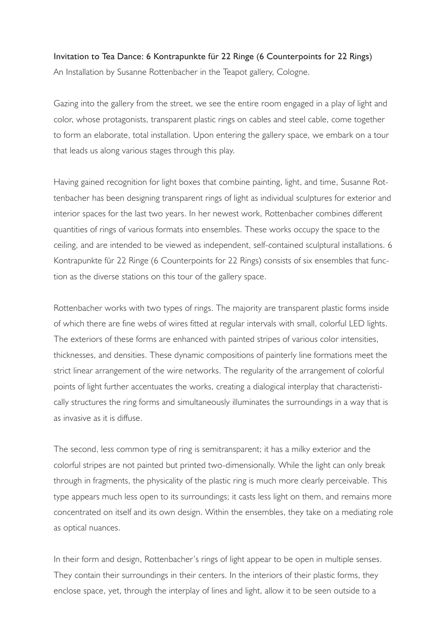## Invitation to Tea Dance: 6 Kontrapunkte für 22 Ringe (6 Counterpoints for 22 Rings) An Installation by Susanne Rottenbacher in the Teapot gallery, Cologne.

Gazing into the gallery from the street, we see the entire room engaged in a play of light and color, whose protagonists, transparent plastic rings on cables and steel cable, come together to form an elaborate, total installation. Upon entering the gallery space, we embark on a tour that leads us along various stages through this play.

Having gained recognition for light boxes that combine painting, light, and time, Susanne Rottenbacher has been designing transparent rings of light as individual sculptures for exterior and interior spaces for the last two years. In her newest work, Rottenbacher combines different quantities of rings of various formats into ensembles. These works occupy the space to the ceiling, and are intended to be viewed as independent, self-contained sculptural installations. 6 Kontrapunkte für 22 Ringe (6 Counterpoints for 22 Rings) consists of six ensembles that function as the diverse stations on this tour of the gallery space.

Rottenbacher works with two types of rings. The majority are transparent plastic forms inside of which there are fine webs of wires fitted at regular intervals with small, colorful LED lights. The exteriors of these forms are enhanced with painted stripes of various color intensities, thicknesses, and densities. These dynamic compositions of painterly line formations meet the strict linear arrangement of the wire networks. The regularity of the arrangement of colorful points of light further accentuates the works, creating a dialogical interplay that characteristically structures the ring forms and simultaneously illuminates the surroundings in a way that is as invasive as it is diffuse.

The second, less common type of ring is semitransparent; it has a milky exterior and the colorful stripes are not painted but printed two-dimensionally. While the light can only break through in fragments, the physicality of the plastic ring is much more clearly perceivable. This type appears much less open to its surroundings; it casts less light on them, and remains more concentrated on itself and its own design. Within the ensembles, they take on a mediating role as optical nuances.

In their form and design, Rottenbacher's rings of light appear to be open in multiple senses. They contain their surroundings in their centers. In the interiors of their plastic forms, they enclose space, yet, through the interplay of lines and light, allow it to be seen outside to a